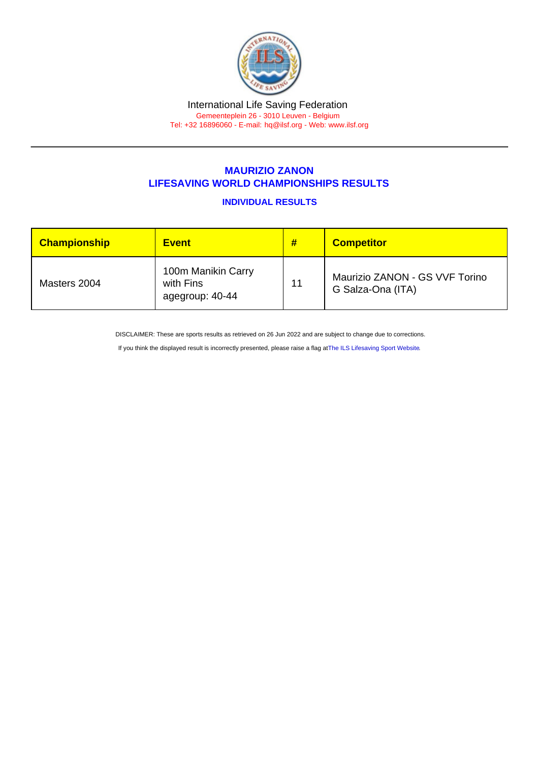## MAURIZIO ZANON LIFESAVING WORLD CHAMPIONSHIPS RESULTS

INDIVIDUAL RESULTS

| <b>Championship</b> | <b>Event</b>                                       | #  | <b>Competitor</b>                                   |
|---------------------|----------------------------------------------------|----|-----------------------------------------------------|
| Masters 2004        | 100m Manikin Carry<br>with Fins<br>agegroup: 40-44 | 11 | Maurizio ZANON - GS VVF Torino<br>G Salza-Ona (ITA) |

DISCLAIMER: These are sports results as retrieved on 26 Jun 2022 and are subject to change due to corrections.

If you think the displayed result is incorrectly presented, please raise a flag at [The ILS Lifesaving Sport Website.](https://sport.ilsf.org)